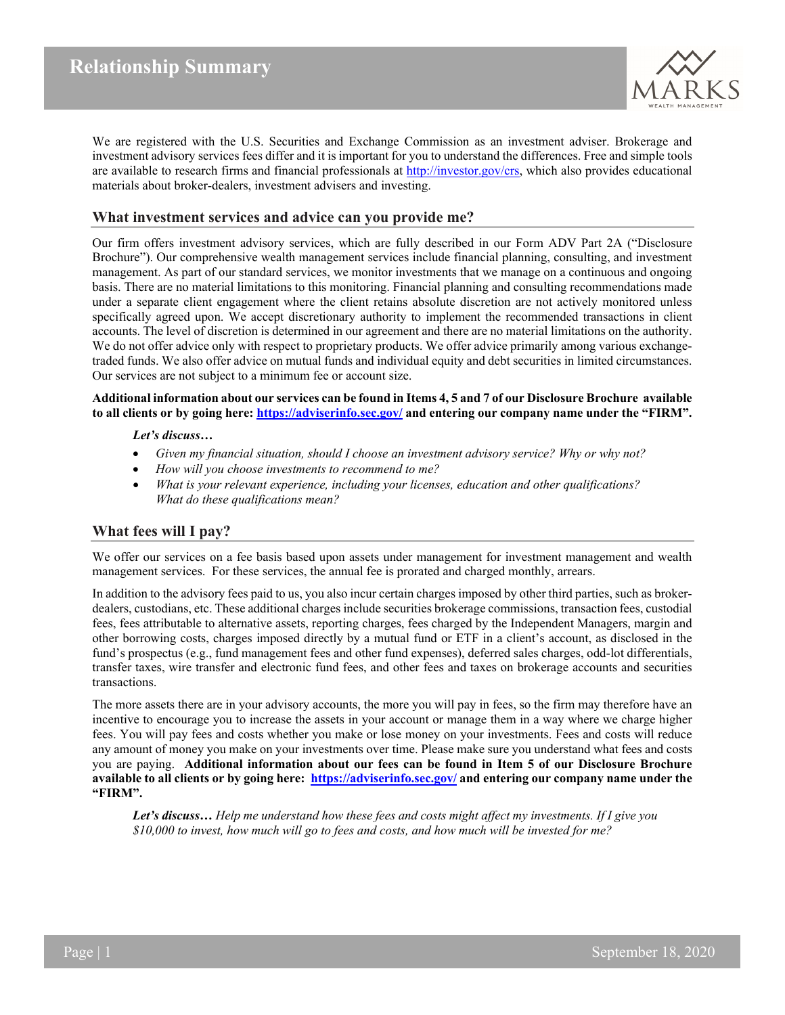

We are registered with the U.S. Securities and Exchange Commission as an investment adviser. Brokerage and investment advisory services fees differ and it is important for you to understand the differences. Free and simple tools are available to research firms and financial professionals at [http://investor.gov/crs,](http://investor.gov/crs) which also provides educational materials about broker-dealers, investment advisers and investing.

### **What investment services and advice can you provide me?**

Our firm offers investment advisory services, which are fully described in our Form ADV Part 2A ("Disclosure Brochure"). Our comprehensive wealth management services include financial planning, consulting, and investment management. As part of our standard services, we monitor investments that we manage on a continuous and ongoing basis. There are no material limitations to this monitoring. Financial planning and consulting recommendations made under a separate client engagement where the client retains absolute discretion are not actively monitored unless specifically agreed upon. We accept discretionary authority to implement the recommended transactions in client accounts. The level of discretion is determined in our agreement and there are no material limitations on the authority. We do not offer advice only with respect to proprietary products. We offer advice primarily among various exchangetraded funds. We also offer advice on mutual funds and individual equity and debt securities in limited circumstances. Our services are not subject to a minimum fee or account size.

**Additional information about our services can be found in Items 4, 5 and 7 of our Disclosure Brochure available to all clients or by going here: <https://adviserinfo.sec.gov/> and entering our company name under the "FIRM".**

### *Let's discuss…*

- *Given my financial situation, should I choose an investment advisory service? Why or why not?*
- *How will you choose investments to recommend to me?*
- *What is your relevant experience, including your licenses, education and other qualifications? What do these qualifications mean?*

# **What fees will I pay?**

We offer our services on a fee basis based upon assets under management for investment management and wealth management services. For these services, the annual fee is prorated and charged monthly, arrears.

In addition to the advisory fees paid to us, you also incur certain charges imposed by other third parties, such as brokerdealers, custodians, etc. These additional charges include securities brokerage commissions, transaction fees, custodial fees, fees attributable to alternative assets, reporting charges, fees charged by the Independent Managers, margin and other borrowing costs, charges imposed directly by a mutual fund or ETF in a client's account, as disclosed in the fund's prospectus (e.g., fund management fees and other fund expenses), deferred sales charges, odd-lot differentials, transfer taxes, wire transfer and electronic fund fees, and other fees and taxes on brokerage accounts and securities transactions.

The more assets there are in your advisory accounts, the more you will pay in fees, so the firm may therefore have an incentive to encourage you to increase the assets in your account or manage them in a way where we charge higher fees. You will pay fees and costs whether you make or lose money on your investments. Fees and costs will reduce any amount of money you make on your investments over time. Please make sure you understand what fees and costs you are paying. **Additional information about our fees can be found in Item 5 of our Disclosure Brochure available to all clients or by going here:<https://adviserinfo.sec.gov/> and entering our company name under the "FIRM".**

*Let's discuss… Help me understand how these fees and costs might affect my investments. If I give you \$10,000 to invest, how much will go to fees and costs, and how much will be invested for me?*